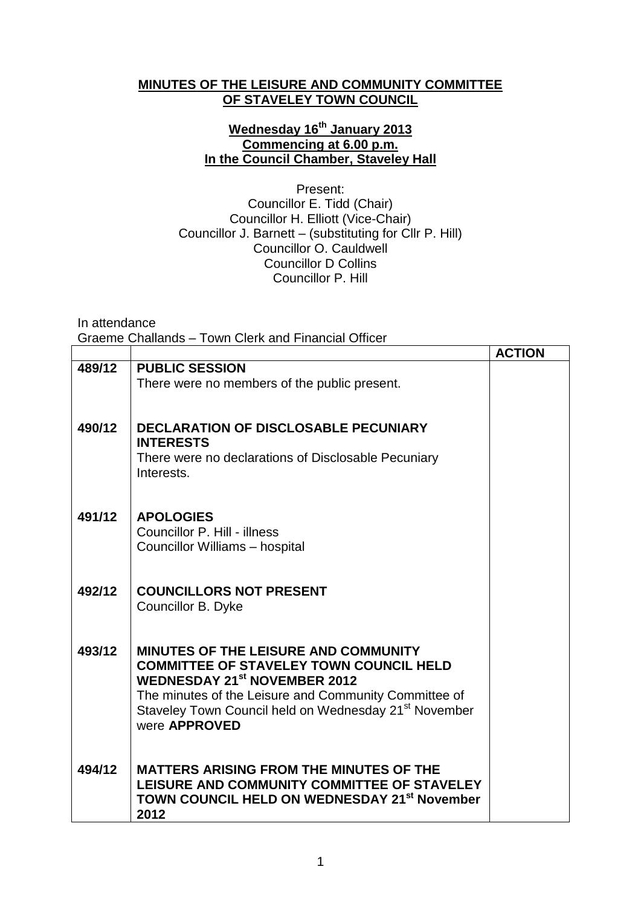## **MINUTES OF THE LEISURE AND COMMUNITY COMMITTEE OF STAVELEY TOWN COUNCIL**

## **Wednesday 16th January 2013 Commencing at 6.00 p.m. In the Council Chamber, Staveley Hall**

Present: Councillor E. Tidd (Chair) Councillor H. Elliott (Vice-Chair) Councillor J. Barnett – (substituting for Cllr P. Hill) Councillor O. Cauldwell Councillor D Collins Councillor P. Hill

In attendance

Graeme Challands – Town Clerk and Financial Officer

|        |                                                                   | <b>ACTION</b> |
|--------|-------------------------------------------------------------------|---------------|
| 489/12 | <b>PUBLIC SESSION</b>                                             |               |
|        | There were no members of the public present.                      |               |
|        |                                                                   |               |
|        |                                                                   |               |
| 490/12 | <b>DECLARATION OF DISCLOSABLE PECUNIARY</b>                       |               |
|        | <b>INTERESTS</b>                                                  |               |
|        | There were no declarations of Disclosable Pecuniary<br>Interests. |               |
|        |                                                                   |               |
|        |                                                                   |               |
| 491/12 | <b>APOLOGIES</b>                                                  |               |
|        | Councillor P. Hill - illness                                      |               |
|        | Councillor Williams - hospital                                    |               |
|        |                                                                   |               |
|        |                                                                   |               |
| 492/12 | <b>COUNCILLORS NOT PRESENT</b>                                    |               |
|        | Councillor B. Dyke                                                |               |
|        |                                                                   |               |
| 493/12 | <b>MINUTES OF THE LEISURE AND COMMUNITY</b>                       |               |
|        | <b>COMMITTEE OF STAVELEY TOWN COUNCIL HELD</b>                    |               |
|        | <b>WEDNESDAY 21st NOVEMBER 2012</b>                               |               |
|        | The minutes of the Leisure and Community Committee of             |               |
|        | Staveley Town Council held on Wednesday 21 <sup>st</sup> November |               |
|        | were APPROVED                                                     |               |
|        |                                                                   |               |
| 494/12 | <b>MATTERS ARISING FROM THE MINUTES OF THE</b>                    |               |
|        | LEISURE AND COMMUNITY COMMITTEE OF STAVELEY                       |               |
|        | TOWN COUNCIL HELD ON WEDNESDAY 21 <sup>st</sup> November          |               |
|        | 2012                                                              |               |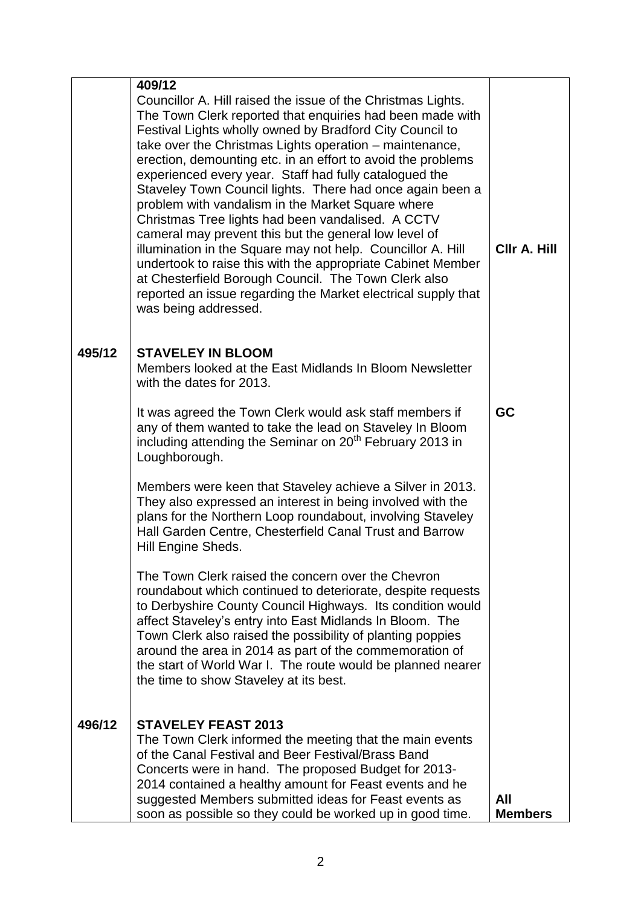|        | 409/12                                                                                                                                                                                                                                                                                                                                                                                                                                                                                                                                                                                                                                                                                                                                                                                                                                                                                    |                              |
|--------|-------------------------------------------------------------------------------------------------------------------------------------------------------------------------------------------------------------------------------------------------------------------------------------------------------------------------------------------------------------------------------------------------------------------------------------------------------------------------------------------------------------------------------------------------------------------------------------------------------------------------------------------------------------------------------------------------------------------------------------------------------------------------------------------------------------------------------------------------------------------------------------------|------------------------------|
|        | Councillor A. Hill raised the issue of the Christmas Lights.<br>The Town Clerk reported that enquiries had been made with<br>Festival Lights wholly owned by Bradford City Council to<br>take over the Christmas Lights operation - maintenance,<br>erection, demounting etc. in an effort to avoid the problems<br>experienced every year. Staff had fully catalogued the<br>Staveley Town Council lights. There had once again been a<br>problem with vandalism in the Market Square where<br>Christmas Tree lights had been vandalised. A CCTV<br>cameral may prevent this but the general low level of<br>illumination in the Square may not help. Councillor A. Hill<br>undertook to raise this with the appropriate Cabinet Member<br>at Chesterfield Borough Council. The Town Clerk also<br>reported an issue regarding the Market electrical supply that<br>was being addressed. | CIIr A. Hill                 |
| 495/12 | <b>STAVELEY IN BLOOM</b><br>Members looked at the East Midlands In Bloom Newsletter<br>with the dates for 2013.                                                                                                                                                                                                                                                                                                                                                                                                                                                                                                                                                                                                                                                                                                                                                                           |                              |
|        | It was agreed the Town Clerk would ask staff members if<br>any of them wanted to take the lead on Staveley In Bloom<br>including attending the Seminar on 20 <sup>th</sup> February 2013 in<br>Loughborough.                                                                                                                                                                                                                                                                                                                                                                                                                                                                                                                                                                                                                                                                              | <b>GC</b>                    |
|        | Members were keen that Staveley achieve a Silver in 2013.<br>They also expressed an interest in being involved with the<br>plans for the Northern Loop roundabout, involving Staveley<br>Hall Garden Centre, Chesterfield Canal Trust and Barrow<br>Hill Engine Sheds.                                                                                                                                                                                                                                                                                                                                                                                                                                                                                                                                                                                                                    |                              |
|        | The Town Clerk raised the concern over the Chevron<br>roundabout which continued to deteriorate, despite requests<br>to Derbyshire County Council Highways. Its condition would<br>affect Staveley's entry into East Midlands In Bloom. The<br>Town Clerk also raised the possibility of planting poppies<br>around the area in 2014 as part of the commemoration of<br>the start of World War I. The route would be planned nearer<br>the time to show Staveley at its best.                                                                                                                                                                                                                                                                                                                                                                                                             |                              |
| 496/12 | <b>STAVELEY FEAST 2013</b>                                                                                                                                                                                                                                                                                                                                                                                                                                                                                                                                                                                                                                                                                                                                                                                                                                                                |                              |
|        | The Town Clerk informed the meeting that the main events                                                                                                                                                                                                                                                                                                                                                                                                                                                                                                                                                                                                                                                                                                                                                                                                                                  |                              |
|        | of the Canal Festival and Beer Festival/Brass Band<br>Concerts were in hand. The proposed Budget for 2013-                                                                                                                                                                                                                                                                                                                                                                                                                                                                                                                                                                                                                                                                                                                                                                                |                              |
|        | 2014 contained a healthy amount for Feast events and he                                                                                                                                                                                                                                                                                                                                                                                                                                                                                                                                                                                                                                                                                                                                                                                                                                   |                              |
|        | suggested Members submitted ideas for Feast events as<br>soon as possible so they could be worked up in good time.                                                                                                                                                                                                                                                                                                                                                                                                                                                                                                                                                                                                                                                                                                                                                                        | <b>All</b><br><b>Members</b> |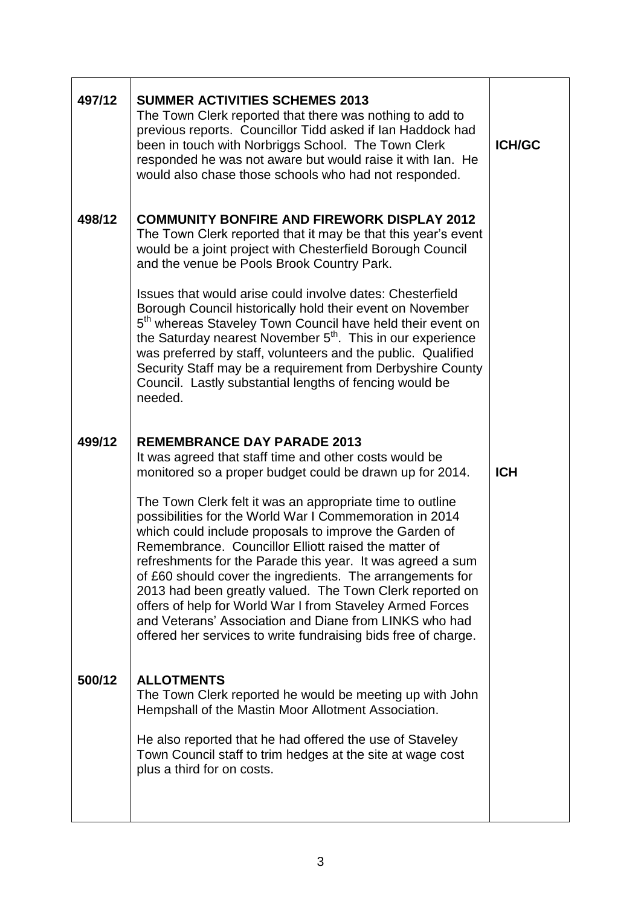| 497/12 | <b>SUMMER ACTIVITIES SCHEMES 2013</b><br>The Town Clerk reported that there was nothing to add to<br>previous reports. Councillor Tidd asked if Ian Haddock had<br>been in touch with Norbriggs School. The Town Clerk<br>responded he was not aware but would raise it with Ian. He<br>would also chase those schools who had not responded.                                                                                                                                                                                                                                                                          | <b>ICH/GC</b> |
|--------|------------------------------------------------------------------------------------------------------------------------------------------------------------------------------------------------------------------------------------------------------------------------------------------------------------------------------------------------------------------------------------------------------------------------------------------------------------------------------------------------------------------------------------------------------------------------------------------------------------------------|---------------|
| 498/12 | <b>COMMUNITY BONFIRE AND FIREWORK DISPLAY 2012</b><br>The Town Clerk reported that it may be that this year's event<br>would be a joint project with Chesterfield Borough Council<br>and the venue be Pools Brook Country Park.                                                                                                                                                                                                                                                                                                                                                                                        |               |
|        | Issues that would arise could involve dates: Chesterfield<br>Borough Council historically hold their event on November<br>5 <sup>th</sup> whereas Staveley Town Council have held their event on<br>the Saturday nearest November 5 <sup>th</sup> . This in our experience<br>was preferred by staff, volunteers and the public. Qualified<br>Security Staff may be a requirement from Derbyshire County<br>Council. Lastly substantial lengths of fencing would be<br>needed.                                                                                                                                         |               |
| 499/12 | <b>REMEMBRANCE DAY PARADE 2013</b><br>It was agreed that staff time and other costs would be<br>monitored so a proper budget could be drawn up for 2014.                                                                                                                                                                                                                                                                                                                                                                                                                                                               | <b>ICH</b>    |
|        | The Town Clerk felt it was an appropriate time to outline<br>possibilities for the World War I Commemoration in 2014<br>which could include proposals to improve the Garden of<br>Remembrance. Councillor Elliott raised the matter of<br>refreshments for the Parade this year. It was agreed a sum<br>of £60 should cover the ingredients. The arrangements for<br>2013 had been greatly valued. The Town Clerk reported on<br>offers of help for World War I from Staveley Armed Forces<br>and Veterans' Association and Diane from LINKS who had<br>offered her services to write fundraising bids free of charge. |               |
| 500/12 | <b>ALLOTMENTS</b><br>The Town Clerk reported he would be meeting up with John<br>Hempshall of the Mastin Moor Allotment Association.                                                                                                                                                                                                                                                                                                                                                                                                                                                                                   |               |
|        | He also reported that he had offered the use of Staveley<br>Town Council staff to trim hedges at the site at wage cost<br>plus a third for on costs.                                                                                                                                                                                                                                                                                                                                                                                                                                                                   |               |
|        |                                                                                                                                                                                                                                                                                                                                                                                                                                                                                                                                                                                                                        |               |